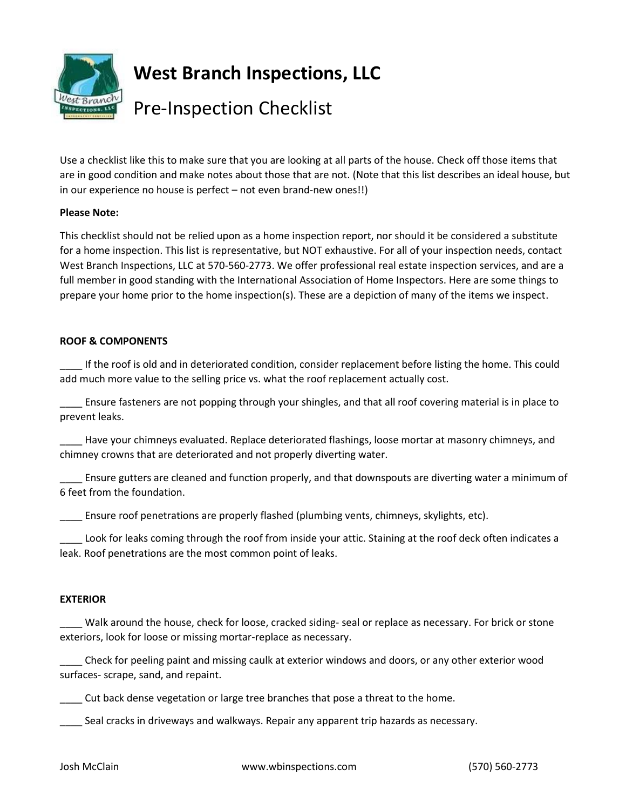

**West Branch Inspections, LLC**

# Pre-Inspection Checklist

Use a checklist like this to make sure that you are looking at all parts of the house. Check off those items that are in good condition and make notes about those that are not. (Note that this list describes an ideal house, but in our experience no house is perfect – not even brand-new ones!!)

## **Please Note:**

This checklist should not be relied upon as a home inspection report, nor should it be considered a substitute for a home inspection. This list is representative, but NOT exhaustive. For all of your inspection needs, contact West Branch Inspections, LLC at 570-560-2773. We offer professional real estate inspection services, and are a full member in good standing with the International Association of Home Inspectors. Here are some things to prepare your home prior to the home inspection(s). These are a depiction of many of the items we inspect.

## **ROOF & COMPONENTS**

\_\_\_\_ If the roof is old and in deteriorated condition, consider replacement before listing the home. This could add much more value to the selling price vs. what the roof replacement actually cost.

\_\_\_\_ Ensure fasteners are not popping through your shingles, and that all roof covering material is in place to prevent leaks.

\_\_\_\_ Have your chimneys evaluated. Replace deteriorated flashings, loose mortar at masonry chimneys, and chimney crowns that are deteriorated and not properly diverting water.

Ensure gutters are cleaned and function properly, and that downspouts are diverting water a minimum of 6 feet from the foundation.

\_\_\_\_ Ensure roof penetrations are properly flashed (plumbing vents, chimneys, skylights, etc).

Look for leaks coming through the roof from inside your attic. Staining at the roof deck often indicates a leak. Roof penetrations are the most common point of leaks.

## **EXTERIOR**

\_\_\_\_ Walk around the house, check for loose, cracked siding- seal or replace as necessary. For brick or stone exteriors, look for loose or missing mortar-replace as necessary.

\_\_\_\_ Check for peeling paint and missing caulk at exterior windows and doors, or any other exterior wood surfaces- scrape, sand, and repaint.

\_\_\_\_ Cut back dense vegetation or large tree branches that pose a threat to the home.

\_\_\_\_ Seal cracks in driveways and walkways. Repair any apparent trip hazards as necessary.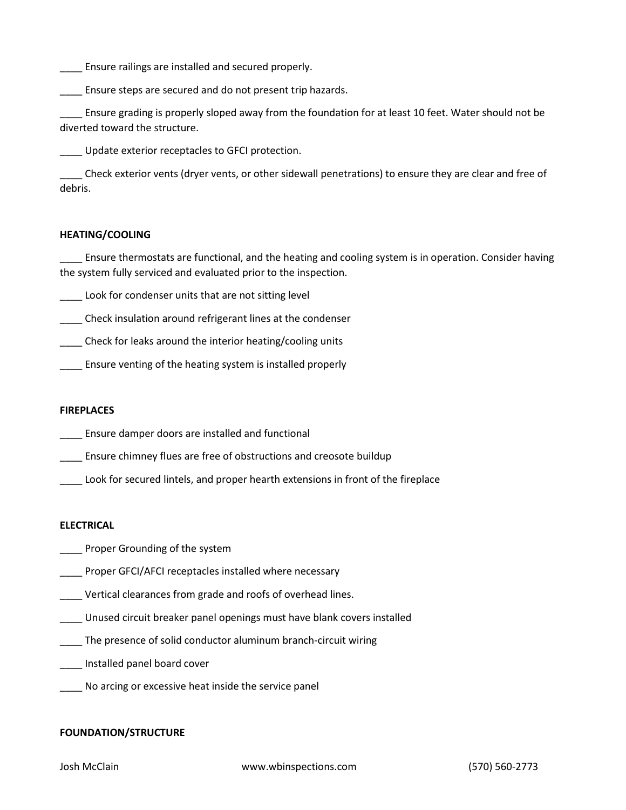\_\_\_\_ Ensure railings are installed and secured properly.

\_\_\_\_ Ensure steps are secured and do not present trip hazards.

Ensure grading is properly sloped away from the foundation for at least 10 feet. Water should not be diverted toward the structure.

\_\_\_\_ Update exterior receptacles to GFCI protection.

\_\_\_\_ Check exterior vents (dryer vents, or other sidewall penetrations) to ensure they are clear and free of debris.

#### **HEATING/COOLING**

\_\_\_\_ Ensure thermostats are functional, and the heating and cooling system is in operation. Consider having the system fully serviced and evaluated prior to the inspection.

\_\_\_\_ Look for condenser units that are not sitting level

\_\_\_\_ Check insulation around refrigerant lines at the condenser

\_\_\_\_ Check for leaks around the interior heating/cooling units

**\_\_\_\_** Ensure venting of the heating system is installed properly

#### **FIREPLACES**

- \_\_\_\_ Ensure damper doors are installed and functional
- \_\_\_\_ Ensure chimney flues are free of obstructions and creosote buildup
- Look for secured lintels, and proper hearth extensions in front of the fireplace

#### **ELECTRICAL**

- **Example 2** Proper Grounding of the system
- \_\_\_\_ Proper GFCI/AFCI receptacles installed where necessary
- \_\_\_\_ Vertical clearances from grade and roofs of overhead lines.
- \_\_\_\_ Unused circuit breaker panel openings must have blank covers installed
- \_\_\_\_ The presence of solid conductor aluminum branch-circuit wiring
- \_\_\_\_ Installed panel board cover
- \_\_\_\_ No arcing or excessive heat inside the service panel

#### **FOUNDATION/STRUCTURE**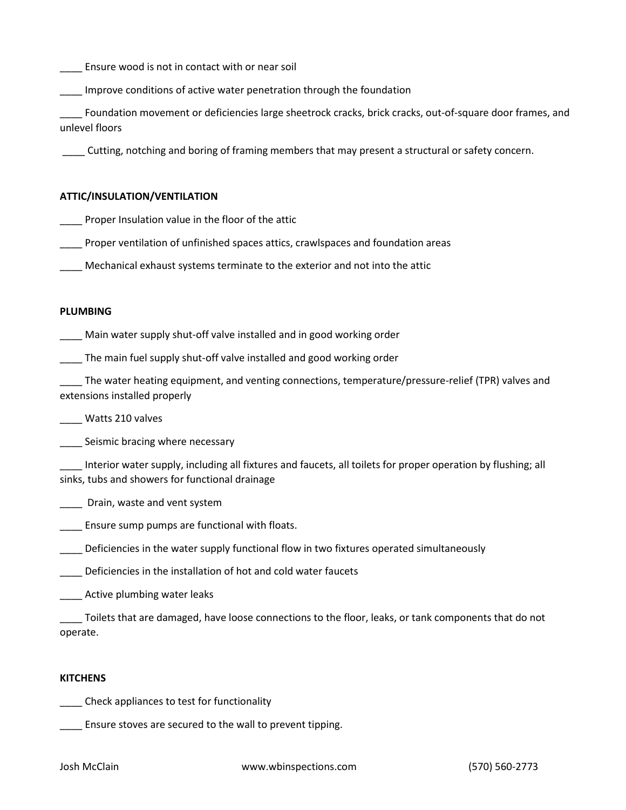\_\_\_\_ Ensure wood is not in contact with or near soil

\_\_\_\_ Improve conditions of active water penetration through the foundation

\_\_\_\_ Foundation movement or deficiencies large sheetrock cracks, brick cracks, out-of-square door frames, and unlevel floors

\_\_\_\_ Cutting, notching and boring of framing members that may present a structural or safety concern.

### **ATTIC/INSULATION/VENTILATION**

\_\_\_\_ Proper Insulation value in the floor of the attic

\_\_\_\_ Proper ventilation of unfinished spaces attics, crawlspaces and foundation areas

\_\_\_\_ Mechanical exhaust systems terminate to the exterior and not into the attic

### **PLUMBING**

\_\_\_\_ Main water supply shut-off valve installed and in good working order

\_\_\_\_ The main fuel supply shut-off valve installed and good working order

\_\_\_\_ The water heating equipment, and venting connections, temperature/pressure-relief (TPR) valves and extensions installed properly

\_\_\_\_ Watts 210 valves

Seismic bracing where necessary

Interior water supply, including all fixtures and faucets, all toilets for proper operation by flushing; all sinks, tubs and showers for functional drainage

\_\_\_\_ Drain, waste and vent system

**Ensure sump pumps are functional with floats.** 

\_\_\_\_ Deficiencies in the water supply functional flow in two fixtures operated simultaneously

\_\_\_\_ Deficiencies in the installation of hot and cold water faucets

\_\_\_\_ Active plumbing water leaks

\_\_\_\_ Toilets that are damaged, have loose connections to the floor, leaks, or tank components that do not operate.

#### **KITCHENS**

\_\_\_\_ Check appliances to test for functionality

\_\_\_\_ Ensure stoves are secured to the wall to prevent tipping.